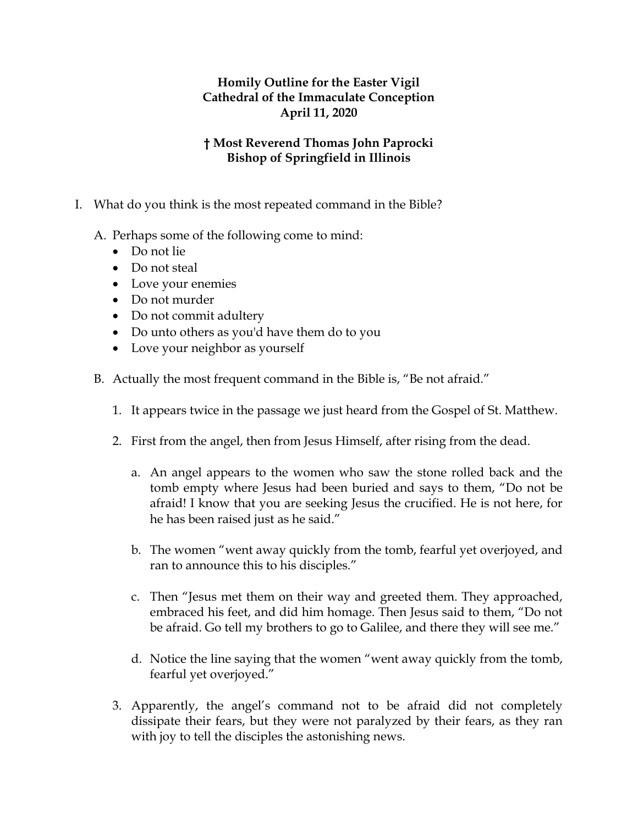## **Homily Outline for the Easter Vigil Cathedral of the Immaculate Conception April 11, 2020**

## **† Most Reverend Thomas John Paprocki Bishop of Springfield in Illinois**

- I. What do you think is the most repeated command in the Bible?
	- A. Perhaps some of the following come to mind:
		- Do not lie
		- Do not steal
		- Love your enemies
		- Do not murder
		- Do not commit adultery
		- Do unto others as you'd have them do to you
		- Love your neighbor as yourself
	- B. Actually the most frequent command in the Bible is, "Be not afraid."
		- 1. It appears twice in the passage we just heard from the Gospel of St. Matthew.
		- 2. First from the angel, then from Jesus Himself, after rising from the dead.
			- a. An angel appears to the women who saw the stone rolled back and the tomb empty where Jesus had been buried and says to them, "Do not be afraid! I know that you are seeking Jesus the crucified. He is not here, for he has been raised just as he said."
			- b. The women "went away quickly from the tomb, fearful yet overjoyed, and ran to announce this to his disciples."
			- c. Then "Jesus met them on their way and greeted them. They approached, embraced his feet, and did him homage. Then Jesus said to them, "Do not be afraid. Go tell my brothers to go to Galilee, and there they will see me."
			- d. Notice the line saying that the women "went away quickly from the tomb, fearful yet overjoyed."
		- 3. Apparently, the angel's command not to be afraid did not completely dissipate their fears, but they were not paralyzed by their fears, as they ran with joy to tell the disciples the astonishing news.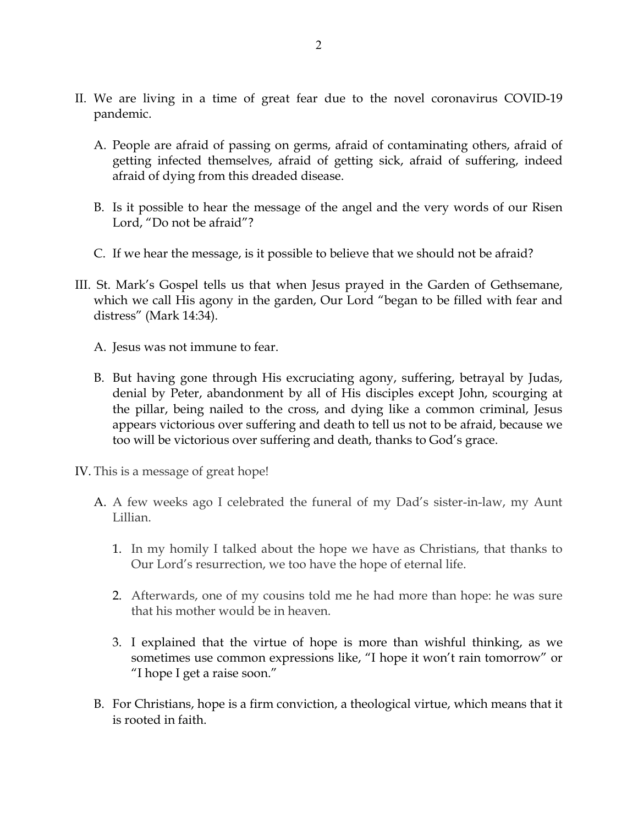- II. We are living in a time of great fear due to the novel coronavirus COVID-19 pandemic.
	- A. People are afraid of passing on germs, afraid of contaminating others, afraid of getting infected themselves, afraid of getting sick, afraid of suffering, indeed afraid of dying from this dreaded disease.
	- B. Is it possible to hear the message of the angel and the very words of our Risen Lord, "Do not be afraid"?
	- C. If we hear the message, is it possible to believe that we should not be afraid?
- III. St. Mark's Gospel tells us that when Jesus prayed in the Garden of Gethsemane, which we call His agony in the garden, Our Lord "began to be filled with fear and distress" (Mark 14:34).
	- A. Jesus was not immune to fear.
	- B. But having gone through His excruciating agony, suffering, betrayal by Judas, denial by Peter, abandonment by all of His disciples except John, scourging at the pillar, being nailed to the cross, and dying like a common criminal, Jesus appears victorious over suffering and death to tell us not to be afraid, because we too will be victorious over suffering and death, thanks to God's grace.
- IV. This is a message of great hope!
	- A. A few weeks ago I celebrated the funeral of my Dad's sister-in-law, my Aunt Lillian.
		- 1. In my homily I talked about the hope we have as Christians, that thanks to Our Lord's resurrection, we too have the hope of eternal life.
		- 2. Afterwards, one of my cousins told me he had more than hope: he was sure that his mother would be in heaven.
		- 3. I explained that the virtue of hope is more than wishful thinking, as we sometimes use common expressions like, "I hope it won't rain tomorrow" or "I hope I get a raise soon."
	- B. For Christians, hope is a firm conviction, a theological virtue, which means that it is rooted in faith.